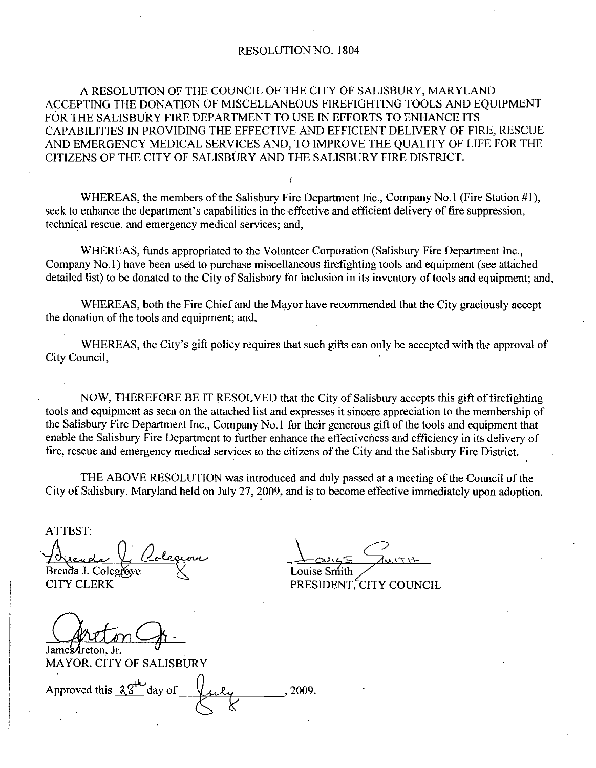## RESOLUTION NO. 1804

## A RESOLUTION OF THE COUNCIL OF THE CITY OF SALISBURY, MARYLAND ACCEPTING THE DONATION OF MISCELLANEOUS FIREFIGHTING TOOLS AND EQUIPMENT FOR THE SALISBURY FIRE DEPARTMENT TO USE IN EFFORTS TO ENHANCE ITS CAPABILITIES IN PROVIDING THE EFFECTIVE AND EFFICIENT DELIVERY OF FIRE RESCUE AND EMERGENCY MEDICAL SERVICES AND, TO IMPROVE THE QUALITY OF LIFE FOR THE CITIZENS OF THE CITY OF SALISBURY AND THE SALISBURY FIRE DISTRICT A RESOLUTION OF THE COUNCIL OF THE CITY OF SALISBURY, MARYL<br>TING THE DONATION OF MISCELLANEOUS FIREFIGHTING TOOLS AND<br>HE SALISBURY FIRE DEPARTMENT TO USE IN EFFORTS TO ENHANCE IT<br>BILITIES IN PROVIDING THE EFFECTIVE AND EFF CAPABILITIES IN PROVIDING THE EFFECTIVE AND EFFICIENT DELIVERY OF FIRE, RESO AND EMERGENCY MEDICAL SERVICES AND, TO IMPROVE THE QUALITY OF LIFE FOR T CITIZENS OF THE CITY OF SALISBURY AND THE SALISBURY FIRE DISTRICT.<br>
WHER

WHEREAS, the members of the Salisbury Fire Department Inc., Company No.1 (Fire Station #1), seek to enhance the department's capabilities in the effective and efficient delivery of fire suppression. technical rescue, and emergency medical services; and, WHEREAS, the members of the Salisbury Fire Department Inc., Company No.1 (Fire Station #1) seek to enhance the department's capabilities in the effective and efficient delivery of fire suppression, technical rescue, and em

WHEREAS, funds appropriated to the Volunteer Corporation (Salisbury Fire Department Inc., Company No.1) have been used to purchase miscellaneous firefighting tools and equipment (see attached detailed list) to be donated to the City of Salisbury for inclusion in its inventory of tools and equipment; and,

WHEREAS, both the Fire Chief and the Mayor have recommended that the City graciously accept the donation of the tools and equipment; and.

WHEREAS, the City's gift policy requires that such gifts can only be accepted with the approval of City Council

NOW, THEREFORE BE IT RESOLVED that the City of Salisbury accepts this gift of firefighting tools and equipment as seen on the attached list and expresses it sincere appreciation to the membership of the Salisbury Fire Department Inc., Company No.1 for their generous gift of the tools and equipment that WHEREAS, both the Fire Chief and the Mayor have recommended that the City graciously accepted the donation of the tools and equipment; and,<br>
WHEREAS, the City's gift policy requires that such gifts can only be accepted wit enable the Salisbury Fire Departrnent to further enhance the effectiveness and efficiency in its delivery of fire, rescue and emergency medical services to the citizens of the City and the Salisbury Fire District. gifts can only be accept<br>ity of Salisbury accept<br>es it sincere appreciation<br>generous gift of the to<br>effectiveness and effice<br>of the City and the Sali<br>uly passed at a meeting<br>become effective imm<br>become effective imm

THE ABOVE RESOLUTION was introduced and duly passed at ameeting of the Council of the City of Salisbury, Maryland held on July 27, 2009, and is to become effective immediately upon adoption.

ATTEST Brenda J. Colegrove

CITY CLERK

James/Treton Jr.

MAYOR, CITY OF SALISBURY

Approved this  $\sqrt[4]{8^{10}}$  day of  $\sqrt[4]{10}$ , 2009.

Louise Smith PRESIDENT, CITY COUNCIL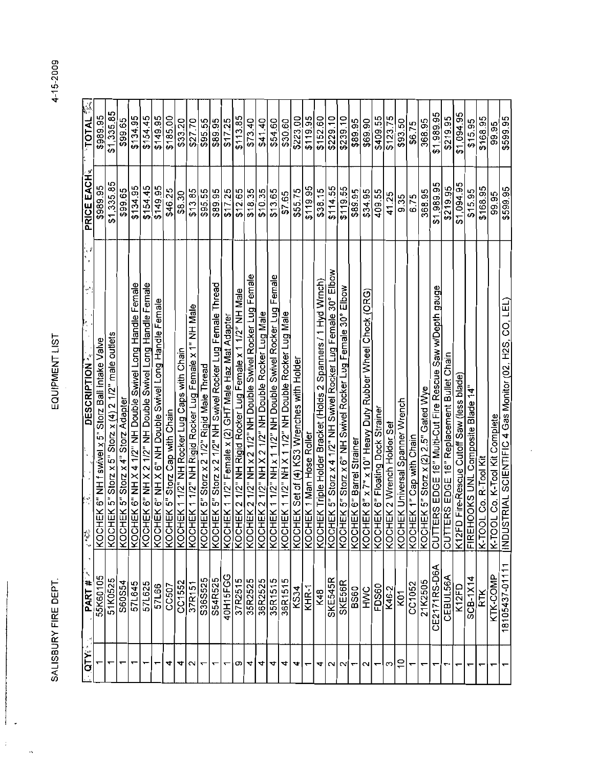E DEPT. m O <u>র</u>

F O J Z W ē O W

| $\overline{Q}$ TY: | PART #             | $\begin{array}{c} \cdot \end{array}$<br>ŀ<br>$\mathcal{L}$<br><b>DESCRIPTION</b><br><b>AND</b>        | PRICE EACH. | <b>TOTAL IN</b> |
|--------------------|--------------------|-------------------------------------------------------------------------------------------------------|-------------|-----------------|
|                    | 55K60105           | HEK 6" NH f swivel x 5" Storz Ball Intake Valve<br>KOC                                                | \$989.95    | \$989.95        |
|                    | 51K0525            | HEK 5" Storz x 5" Storz x (4) 2 $1/2$ " male outlets<br>KOC                                           | \$1,335.85  | \$1,335.85      |
|                    | S60S54             | HEK 5" Storz x 4" Storz Adapter<br>KOC                                                                | \$99.65     | \$99.65         |
|                    | 571645             | HEK 6" NH X 4 1/2" NH Double Swivel Long Handle Female<br><b>IOON</b><br>IOON                         | \$134.95    | \$134.95        |
|                    | 57L625             | HEK 6" NH X 2 1/2" NH Double Swivel Long Handle Female                                                | \$154.45    | \$154.45        |
|                    | 57166              | HEK 6" NH X 6" NH Double Swivel Long Handle Female<br>$\overline{\frac{1}{2}}$                        | \$149.95    | \$149.95        |
| 4                  | CC507              | HEK 5" Storz Cap with Chain<br><b>ROCI</b>                                                            | \$46.25     | \$185.00        |
| 4                  | CC1552             | HEK 1 1/2" NH Rocker Lug Caps with Chain<br>$\overline{SO}$                                           | \$8.30      | \$33.20         |
| N                  | 37R151             | HEK 1 1/2" NH Rigid Rocker Lug Female x 1" NH Male<br>KOCI                                            | \$13.85     | \$2770          |
|                    | S36S525            | HEK 5" Storz x 2 1/2" Rigid Male Thread<br>KOCI                                                       | \$95.55     | \$95.55         |
|                    | S54R525            | HEK 5" Storz x 2 1/2" NH Swivel Rocker Lug Female Thread<br>KOCI                                      | \$89.95     | \$89.95         |
| ᡪ                  | 40H15FGG           | HEK 1 1/2" Female x (2) GHT Male Haz Mat Adapter<br><b>IOON</b>                                       | \$17.25     | \$17.25         |
| თ                  | 37R2515            | HEK 2 1/2" NH Rigid Rocker Lug Female x 1 1/2" NH Male<br><b>EX</b>                                   | \$12.65     | \$113.85        |
| 4                  | 35R2525            | HEK 2 1/2" NH x 2 1/2" NH Double Swivel Rocker Lug Female<br>KOCI                                     | \$18.35     | \$73.40         |
| 4                  | 36R2525            | HEK 2 1/2" NH X 2 1/2" NH Double Rocker Lug Male<br><b>IOON</b>                                       | \$10.35     | \$41.40         |
| 4                  | 35R1515            | HEK 1 1/2" NH x 1 1/2" NH Double Swivel Rocker Lug Female<br>$\overline{\overline{\text{K}}\text{O}}$ | \$13.65     | \$54.60         |
| 4                  | 36R1515            | HEK 1 1/2" NH X 1 1/2" NH Double Rocker Lug Male<br><b>IOOI</b>                                       | \$7.65      | \$30.60         |
| 4                  | KS34               | KOCHEK Set of (4) KS3 Wrenches with Holder<br>KOCHEK 1 Man Hose Roller                                | \$55.75     | \$223.00        |
|                    | KHR-1              |                                                                                                       | \$119.95    | \$119.95        |
| 4                  | K48                | KOCHEK Triple Holder Bracket (Holds 2 Spanners / 1 Hyd Wrnch)                                         | \$38.15     | \$152.60        |
| $\sim$             | SKE545R            | KOCHEK 5" Storz x 4 1/2" NH Swivel Rocker Lug Female 30° Elbow                                        | \$114.55    | \$229.10        |
| N                  | SKE <sub>56R</sub> | KOCHEK 5" Storz x 6" NH Swivel Rocker Lug Female 30° Elbow                                            | \$119.55    | \$239.10        |
|                    | <b>BS60</b>        | KOCHEK 6" Barrel Strainer                                                                             | \$89.95     | \$89.95         |
| N                  | HWC                | KOCHEK 8" x 7" x 10" Heavy Duty Rubber Wheel Chock (ORG)                                              | \$34.95     | \$69.90         |
|                    | FDS60              | KOCHEK 6" Floating Dock Strainer                                                                      | 409.55      | \$409.55        |
| ς                  | K46-2              | KOCHEK 2 Wrench Holder Set                                                                            | 41.25       | \$123.75        |
| ٥Ļ                 | K01                | KOCHEK Universal Spanner Wrench                                                                       | 9.35        | \$93.50         |
|                    | CC1052             | KOCHEK 1" Cap with Chain                                                                              | 6.75        | \$6.75          |
|                    | 21K2505            | KOCHEK 5" Storz x (2) 2.5" Gated Wye                                                                  | 368.95      | 368.95          |
|                    | CE2171RS-D6A       | TERS EDGE 16" Multi-Cut Fire Rescue Saw w/Depth gauge<br>Eno                                          | \$1,989.95  | \$1,989.95      |
|                    | CEBUL56A           | CUTTERS EDGE 16" Replacement Bullet Chain                                                             | \$219.95    | \$219.95        |
|                    | K12FD              | K12FD Fire-Rescue Cutoff Saw (less blade)                                                             | \$1,094.95  | \$1,094.95      |
|                    | SCB-1X14           | FIREHOOKS UNL Composite Blade 14'                                                                     | \$15.95     | \$15.95         |
|                    | <b>RTK</b>         | OL Co. R-Tool Kit<br>$K-TO$                                                                           | \$168.95    | \$168.95        |
|                    | KTK-COMP           | OL Co. K-Tool Kit Complete<br>$K-TO($                                                                 | 99.95       | 99.95           |
|                    | 18105437-01111     | STRIAL SCIENTIFIC 4 Gas Monitor (02, H2S, CO, LEL)<br>nani                                            | \$599.95    | \$599.95        |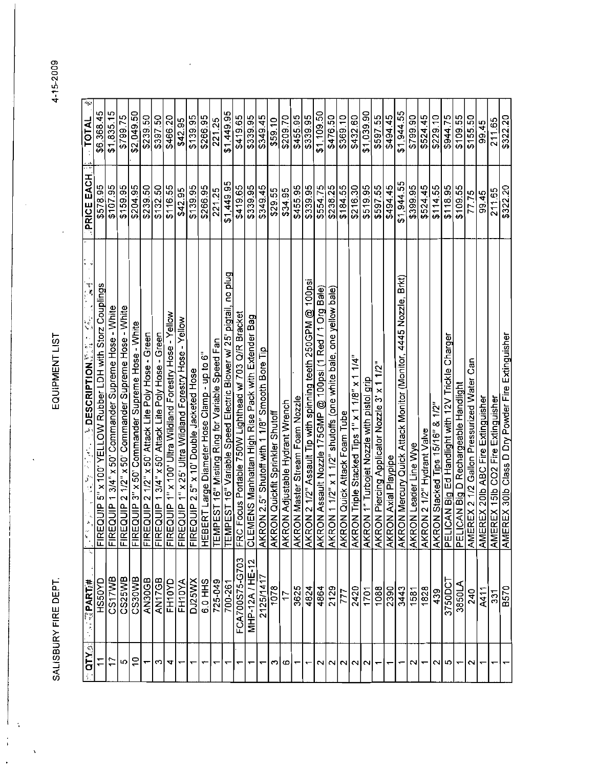SALISBURY FIRE DEPT.

EQUIPMENT LIST

| כ<br>ι |
|--------|
| ٥      |
|        |
| 4      |
|        |
|        |

 $\ddot{\phantom{0}}$ 

| $\alpha$                 | <b>ARTER</b>    | $\stackrel{\scriptscriptstyle \delta}{\bullet}=\stackrel{\scriptscriptstyle \delta}{\circ}$<br>1、海军<br>$\mathbb{E}^{(1)}_{\mathbb{Z}} \in \mathbb{Q}^{(1)}_{\mathbb{Z}}$ in $\mathbb{E}^{(1)}$ . The set of $\mathbb{Z}^{(1)}$ is a set of $\mathbb{Z}^{(1)}$<br> <br> -<br>  ^ a  <br>$\mathbf{R}$ | PRICE EACH | are a<br><b>TOTAL</b> |
|--------------------------|-----------------|-----------------------------------------------------------------------------------------------------------------------------------------------------------------------------------------------------------------------------------------------------------------------------------------------------|------------|-----------------------|
|                          | HS50YD          | EQUIP 5" x 100' YELLOW Rubber LDH with Storz Couplings<br>FIRE                                                                                                                                                                                                                                      | \$578.95   | \$6,368.45            |
| 7                        | CS17WB          | EQUIP 1 3/4" x 50' Commander Supreme Hose - White<br>FIRE                                                                                                                                                                                                                                           | \$107.95   | \$1,835.15            |
| 5                        | CS25WB          | <b>FIRE</b>                                                                                                                                                                                                                                                                                         | \$159.95   | \$799.75              |
| 5                        | CS30WB          | EQUIP 2 1/2" x 50' Commander Supreme Hose - White<br>EQUIP 3" x 50' Commander Supreme Hose - White<br><b>EIRIE</b><br>EIRIE                                                                                                                                                                         | \$204.95   | \$2,049.50            |
|                          | <b>AN30GB</b>   |                                                                                                                                                                                                                                                                                                     | \$239.50   | \$239.50              |
| Σ                        | <b>AN17GB</b>   | EQUIP 2 1/2" x 50' Attack Lite Poly Hose - Green<br>EQUIP 1 3/4" x 50' Attack Lite Poly Hose - Green                                                                                                                                                                                                | \$132.50   | \$397.50              |
| 4                        | FH10YD          | EQUIP 1" x 100' Ultra Wildland Forestry Hose - Yellow<br>FIRE                                                                                                                                                                                                                                       | \$116.55   | \$466.20              |
|                          | <b>FH10YA</b>   | EQUIP 1" x 25' Ultra Wildland Forestry Hose - Yellow<br>EQUIP 2.5" x 10' Double Jacketed Hose<br>FIRE                                                                                                                                                                                               | \$42.95    | \$42.95               |
|                          | DJ25WX          | FIRE                                                                                                                                                                                                                                                                                                | \$139.95   | \$139.95              |
|                          | 6.0 HHS         | HEBERT Large Diameter Hose Clamp - up to 6"                                                                                                                                                                                                                                                         | \$266.95   | \$266.95              |
|                          | 725-049         | TEMPEST 16" Misting Ring for Variable Speed Fan                                                                                                                                                                                                                                                     | 221.25     | 221.25                |
|                          | 700-261         | TEMPEST 16" Variable Speed Electric Blower w/ 25' pigtail, no plug                                                                                                                                                                                                                                  | \$1,449.95 | \$1,449.95            |
|                          | FCA700S75-G703  | FRC Focus Portable 750W Lighthead w/ 703 Q/R Bracket                                                                                                                                                                                                                                                | \$419.65   | \$419.65              |
|                          | MHP-12A / HE-12 | MENS Manhattan High Rise Pack with Extender Bag<br><b>CLE</b>                                                                                                                                                                                                                                       | \$339.95   | \$3339.95             |
|                          | 2125/1417       | AKRON 2.5" Shutoff with 1 1/8" Smooth Bore Tip                                                                                                                                                                                                                                                      | \$349.45   | \$349.45              |
|                          | 1078            | <b>AKRON Quickfit Sprinkler Shutoff</b>                                                                                                                                                                                                                                                             | \$29.55    | \$59.10               |
| ဖ                        | 17              | AKRON Adjustable Hydrant Wrench                                                                                                                                                                                                                                                                     | \$34.95    | \$209.70              |
|                          | 3625            | AKRON Master Stream Foam Nozzle                                                                                                                                                                                                                                                                     | \$455.95   | \$455.95              |
|                          | 4824            | AKRON 2 1/2" Assault Tip with spinning teeth 250GPM $@$ 100psi                                                                                                                                                                                                                                      | \$339.95   | \$339.95              |
|                          | 4864            | AKRON Assault Nozzle 175GMP @ 100psi (1 Red / 1 Org Bale)                                                                                                                                                                                                                                           | \$554.75   | \$1,109.50            |
| N                        | 2129            | AKRON 1 1/2" x 1 1/2" shutoffs (one white bale, one yellow bale)                                                                                                                                                                                                                                    | \$238.25   | \$476.50              |
| $\sim$                   | 777             | AKRON Quick Attack Foam Tube                                                                                                                                                                                                                                                                        | \$184.55   | \$369.10              |
| $\sim$                   | 2420            | AKRON Triple Stacked Tips 1" x 1 1/8" x 1 1/4"                                                                                                                                                                                                                                                      | \$216.30   | \$432.60              |
| N                        | 1701            | AKRON 1" Turbojet Nozzle with pistol grip                                                                                                                                                                                                                                                           | \$519.95   | \$1,039.90            |
|                          | 1088            | AKRON Piercing Applicator Nozzle 3' x 1 1/2"                                                                                                                                                                                                                                                        | \$597.55   | \$597.55              |
|                          | 2390            | <b>AKRON Axial Playpipe</b>                                                                                                                                                                                                                                                                         | \$494.45   | \$494.45              |
|                          | 3443            | Brkt)<br>AKRON Mercury Quick Attack Monitor (Monitor, 4445 Nozzle,                                                                                                                                                                                                                                  | \$1,944.55 | \$1,944.55            |
|                          | 1581            | AKRON Leader Line Wye                                                                                                                                                                                                                                                                               | \$399.95   | \$799.90              |
|                          | 1828            | AKRON 2 1/2" Hydrant Valve                                                                                                                                                                                                                                                                          | \$524.45   | \$524.45              |
|                          | 439             | AKRON Stacked Tips 15/16" & 1/2"                                                                                                                                                                                                                                                                    | \$114.55   | \$229.10              |
| 5                        | 3750DCT         | PELICAN Big Ed Handlight with 12V Trickle Charger                                                                                                                                                                                                                                                   | \$118.95   | \$944.75              |
|                          | 3850LA          | PELICAN Big D Rechargeable Handlight                                                                                                                                                                                                                                                                | \$109.55   | \$109.55              |
| $\scriptstyle\mathtt{N}$ | 240             | ទី<br>AMEREX 2 1/2 Gallon Pressurized Water                                                                                                                                                                                                                                                         | 77.75      | \$155.50              |
|                          | A411            | AMEREX 20lb ABC Fire Extinguisher                                                                                                                                                                                                                                                                   | 99.45      | 99.45                 |
|                          | 331             | AMEREX 15lb CO2 Fire Extinguisher                                                                                                                                                                                                                                                                   | 211.65     | 211.65                |
|                          | <b>B570</b>     | AMEREX 30lb Class D Dry Powder Fire Extinguisher                                                                                                                                                                                                                                                    | \$322.20   | \$322.20              |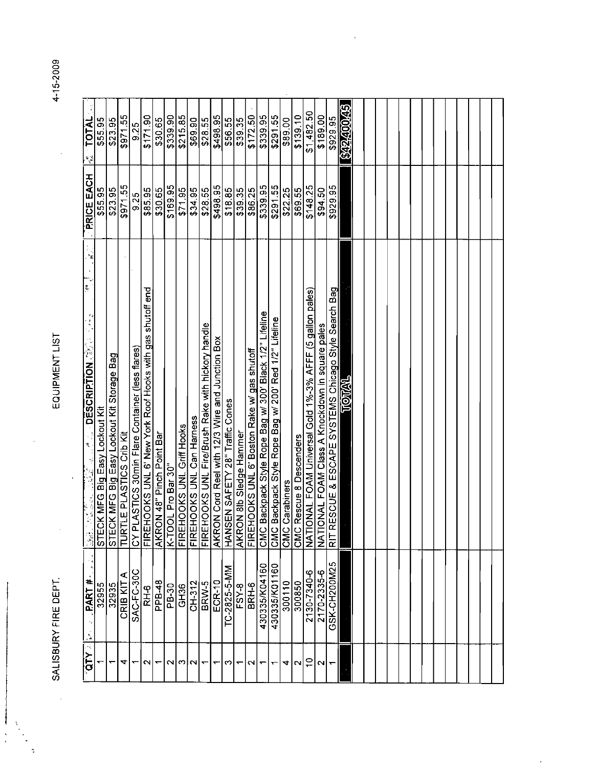EQUIPMENT LIST

J

 $\ddot{\phantom{a}}$ 

SALISBURY FIRE DEPT.

 $\ddot{\phantom{a}}$ 

 $\frac{1}{2}$  $\ddot{\phantom{a}}$ 

 $\frac{1}{2}$ 

4-15-2009

l,

| $\overline{GTY}$ | $\overline{ABR}$  | $\mathcal{L}^{(n)}$<br>$\mathbb{R}_{\geq 0} \times \mathbb{R}_{\geq 0}$ . Description $\mathbb{R} \mathbb{C} \times \mathbb{R}_{\geq 0}$ | <b>PRICE EACH</b> | $\sqrt{2\pi n}$ |
|------------------|-------------------|------------------------------------------------------------------------------------------------------------------------------------------|-------------------|-----------------|
|                  | 32955             | ECK MFG Big Easy Lockout Kit<br>55                                                                                                       | \$55.95           | \$55.95         |
| ↽                | 32935             | STECK MFG Big Easy Lockout Kit Storage Bag                                                                                               | \$23.95           | \$23.95         |
| 4                | ٩,<br>CRIB KIT    | TURTLE PLASTICS Crib Kit                                                                                                                 | \$971.55          | \$971.55        |
|                  | <b>OOS-04-588</b> | PLASTICS 30min Flare Container (less flares)<br>$\overline{\mathcal{C}}$                                                                 | 9.25              | 9.25            |
| $\sim$           | RH-6              |                                                                                                                                          | \$85.95           | \$17190         |
|                  | PPB-48            | <u>FIREHOOKS UNL 6' New York Roof Hooks with gas shutoff end</u><br>AKRON 48" Pinch Point Bar                                            | \$30.65           | \$30.65         |
| $\sim$           | PB-30             | OOL Pro Bar 30"<br>$K-T$                                                                                                                 | \$169.95          | \$339.90        |
| S                | GH <sub>36</sub>  | FIREHOOKS UNL Griff Hooks                                                                                                                | \$71.95           | \$215.85        |
| $\sim$           | CH-312            | Can Harness<br>EHOOKS UNL<br>$\overline{F}$                                                                                              | \$3495            | \$69.90         |
|                  | BRW-5             | EHOOKS UNL Fire/Brush Rake with hickory handle<br>医口                                                                                     | \$28.55           | \$28.55         |
|                  | ECR-10            | AKRON Cord Reel with 12/3 Wire and Junction Box                                                                                          | \$498.95          | \$498.95        |
| ო                | TC-2825-5-MM      | HANSEN SAFETY 28" Traffic Cones                                                                                                          | \$18.85           | \$56.55         |
|                  | FSY-8             | AKRON 8lb Sledge Hammer                                                                                                                  | \$39.35           | \$39.35         |
| $\sim$           | BRH-6             | EHOOKS UNL 6' Boston Rake w/ gas shutoff<br>FiR                                                                                          | \$86.25           | \$172.50        |
|                  | 430335/K04160     |                                                                                                                                          | \$339.95          | \$339.95        |
|                  | 430335/K01160     | CMC Backpack Style Rope Bag w/ 300' Black 1/2" Lifeline<br>CMC Backpack Style Rope Bag w/ 200' Red 1/2" Lifeline                         | \$291.55          | \$291.55        |
| 4                | 300110            | <b>CMC Carabiners</b>                                                                                                                    | \$22.25           | \$89.00         |
| $\sim$           | 300850            | .<br><mark>:CMC Rescue 8 Descenders</mark><br> NATIONAL FOAM Universal Gold 1%-3% AFFF (5 gallon pales)                                  | \$69.55           | \$139.10        |
| $\tilde{=}$      | 2130-7340-6       |                                                                                                                                          | \$148.25          | \$1,482.50      |
| $\sim$           | 2170-2335-6       | <b>TIONAL FOAM Class A Knockdown in square pales</b><br>$\overline{\mathbf{z}}$                                                          | \$9450            | \$189.00        |
|                  | GSK-CH200M25      | RESCUE & ESCAPE SYSTEMS Chicago Style Search Bag<br>$\frac{1}{\alpha}$                                                                   | \$929.95          | \$929.95        |
|                  |                   | TOTAL                                                                                                                                    |                   | \$4240045       |
|                  |                   |                                                                                                                                          |                   |                 |
|                  |                   |                                                                                                                                          |                   |                 |
|                  |                   |                                                                                                                                          |                   |                 |
|                  |                   |                                                                                                                                          |                   |                 |
|                  |                   |                                                                                                                                          |                   |                 |
|                  |                   |                                                                                                                                          |                   |                 |
|                  |                   |                                                                                                                                          |                   |                 |
|                  |                   |                                                                                                                                          |                   |                 |
|                  |                   |                                                                                                                                          |                   |                 |
|                  |                   |                                                                                                                                          |                   |                 |
|                  |                   |                                                                                                                                          |                   |                 |
|                  |                   |                                                                                                                                          |                   |                 |
|                  |                   |                                                                                                                                          |                   |                 |

 $\ddot{\phantom{0}}$ 

 $\ddot{\phantom{a}}$